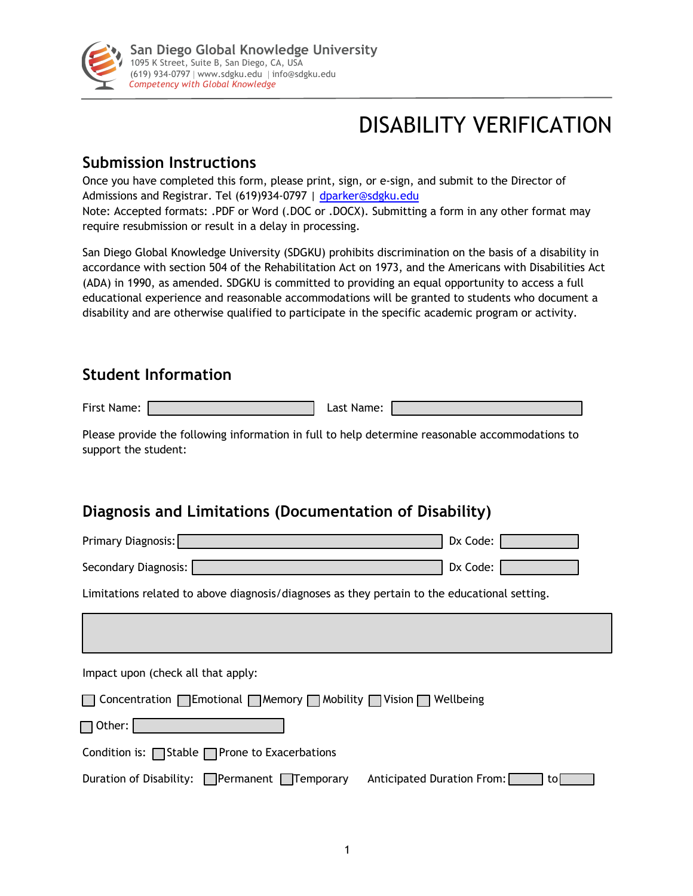

# DISABILITY VERIFICATION

#### **Submission Instructions**

Once you have completed this form, please print, sign, or e-sign, and submit to the Director of Admissions and Registrar. Tel (619)934-0797 | dparker@sdgku.edu Note: Accepted formats: .PDF or Word (.DOC or .DOCX). Submitting a form in any other format may require resubmission or result in a delay in processing.

San Diego Global Knowledge University (SDGKU) prohibits discrimination on the basis of a disability in accordance with section 504 of the Rehabilitation Act on 1973, and the Americans with Disabilities Act (ADA) in 1990, as amended. SDGKU is committed to providing an equal opportunity to access a full educational experience and reasonable accommodations will be granted to students who document a disability and are otherwise qualified to participate in the specific academic program or activity.

#### **Student Information**

First Name: 2008 [2013] Last Name:

Please provide the following information in full to help determine reasonable accommodations to support the student:

# **Diagnosis and Limitations (Documentation of Disability)**

| Primary Diagnosis:                                                                           | Dx Code:                   |     |
|----------------------------------------------------------------------------------------------|----------------------------|-----|
| Secondary Diagnosis:                                                                         | Dx Code:                   |     |
| Limitations related to above diagnosis/diagnoses as they pertain to the educational setting. |                            |     |
|                                                                                              |                            |     |
| Impact upon (check all that apply:                                                           |                            |     |
| □ Concentration □ Emotional □ Memory □ Mobility □ Vision □ Wellbeing                         |                            |     |
| Other:                                                                                       |                            |     |
| Condition is: $\Box$ Stable $\Box$ Prone to Exacerbations                                    |                            |     |
| Duration of Disability: $\Box$ Permanent $\Box$ Temporary                                    | Anticipated Duration From: | tol |